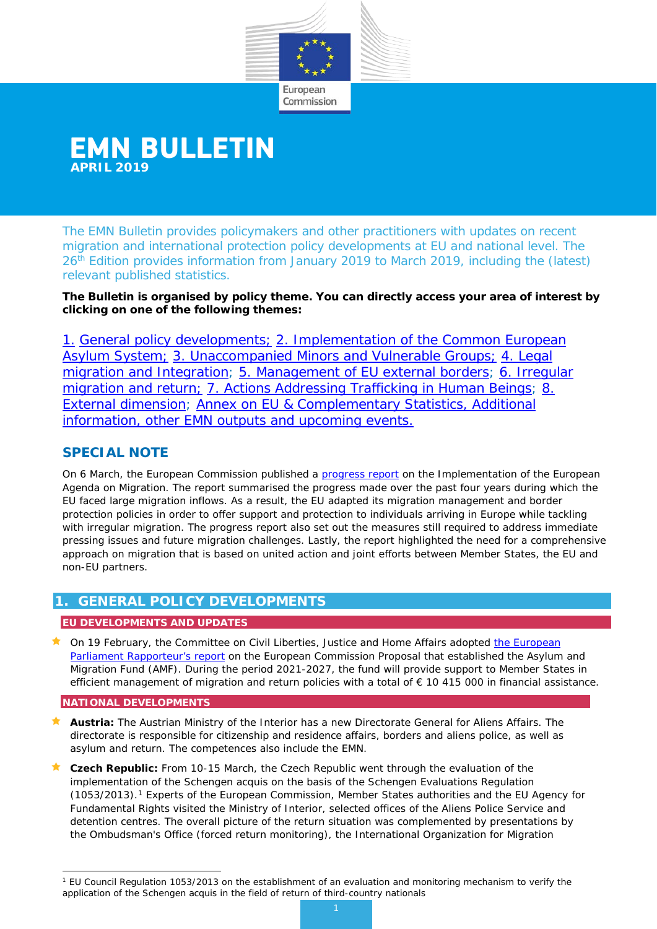

# **EMN BULLETIN APRIL 2019**

The EMN Bulletin provides policymakers and other practitioners with updates on recent migration and international protection policy developments at EU and national level. The 26<sup>th</sup> Edition provides information from January 2019 to March 2019, including the (latest) relevant published statistics.

**The Bulletin is organised by policy theme. You can directly access your area of interest by clicking on one of the following themes:** 

1. [General policy developments;](#page-0-0) [2. Implementation of the Common European](#page-1-0)  [Asylum System;](#page-1-0) [3. Unaccompanied Minors and Vulnerable Groups;](#page-3-0) [4. Legal](#page-4-0)  [migration and Integration;](#page-4-0) [5. Management of EU](#page-8-0) external borders; [6. Irregular](#page-9-0)  [migration and return;](#page-9-0) [7. Actions Addressing Trafficking in Human Beings;](#page-10-0) 8. [External dimension;](#page-11-0) [Annex on EU & Complementary Statistics, Additional](#page-12-0)  [information, other EMN outputs and upcoming events.](#page-12-0)

# **SPECIAL NOTE**

On 6 March, the European Commission published a [progress report](https://ec.europa.eu/home-affairs/sites/homeaffairs/files/what-we-do/policies/european-agenda-migration/20190306_com-2019-126-report_en.pdf) on the Implementation of the European Agenda on Migration. The report summarised the progress made over the past four years during which the EU faced large migration inflows. As a result, the EU adapted its migration management and border protection policies in order to offer support and protection to individuals arriving in Europe while tackling with irregular migration. The progress report also set out the measures still required to address immediate pressing issues and future migration challenges. Lastly, the report highlighted the need for a comprehensive approach on migration that is based on united action and joint efforts between Member States, the EU and non-EU partners.

# <span id="page-0-0"></span>**1. GENERAL POLICY DEVELOPMENTS**

## **EU DEVELOPMENTS AND UPDATES**

On 19 February, the Committee on Civil Liberties, Justice and Home Affairs adopted the European [Parliament Rapporteur's report](https://eur-lex.europa.eu/legal-content/EN/TXT/?qid=1553516776647&uri=CELEX:52018PC0471) on the European Commission Proposal that established the Asylum and Migration Fund (AMF). During the period 2021-2027, the fund will provide support to Member States in efficient management of migration and return policies with a total of € 10 415 000 in financial assistance.

## **NATIONAL DEVELOPMENTS**

- **Austria:** The Austrian Ministry of the Interior has a new Directorate General for Aliens Affairs. The directorate is responsible for citizenship and residence affairs, borders and aliens police, as well as asylum and return. The competences also include the EMN.
- **Czech Republic:** From 10-15 March, the Czech Republic went through the evaluation of the implementation of the Schengen acquis on the basis of the Schengen Evaluations Regulation (1053/2013)[.1](#page-0-1) Experts of the European Commission, Member States authorities and the EU Agency for Fundamental Rights visited the Ministry of Interior, selected offices of the Aliens Police Service and detention centres. The overall picture of the return situation was complemented by presentations by the Ombudsman's Office (forced return monitoring), the International Organization for Migration

<span id="page-0-1"></span><sup>1</sup> EU Council Regulation 1053/2013 on the establishment of an evaluation and monitoring mechanism to verify the application of the Schengen acquis in the field of return of third-country nationals -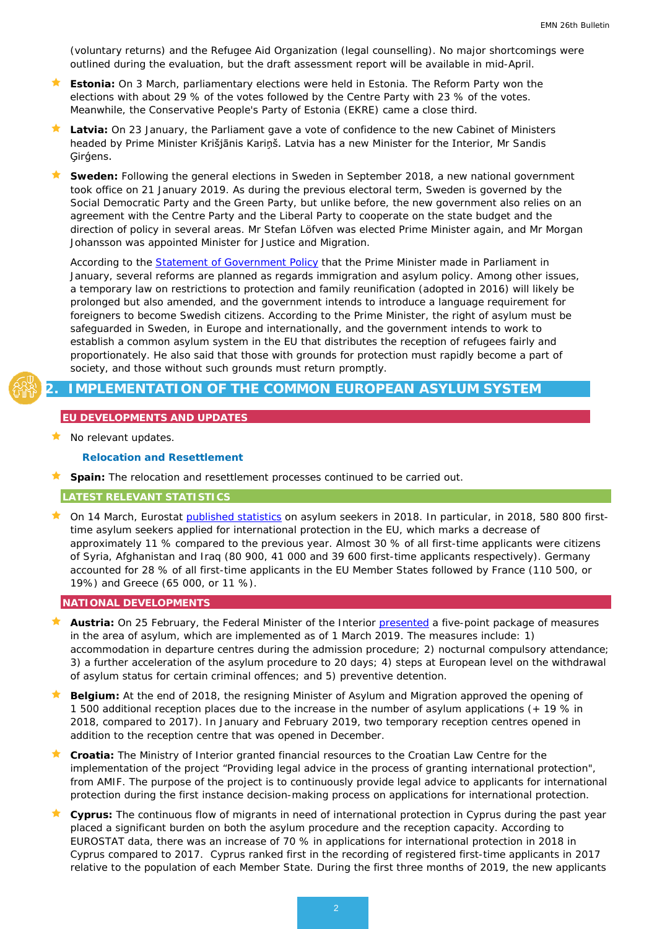(voluntary returns) and the Refugee Aid Organization (legal counselling). No major shortcomings were outlined during the evaluation, but the draft assessment report will be available in mid-April.

- **Estonia:** On 3 March, parliamentary elections were held in Estonia. The Reform Party won the elections with about 29 % of the votes followed by the Centre Party with 23 % of the votes. Meanwhile, the Conservative People's Party of Estonia (EKRE) came a close third.
- **Latvia:** On 23 January, the Parliament gave a vote of confidence to the new Cabinet of Ministers headed by Prime Minister Krišjānis Kariņš. Latvia has a new Minister for the Interior, Mr Sandis Ģirģens.
- **Sweden:** Following the general elections in Sweden in September 2018, a new national government took office on 21 January 2019. As during the previous electoral term, Sweden is governed by the Social Democratic Party and the Green Party, but unlike before, the new government also relies on an agreement with the Centre Party and the Liberal Party to cooperate on the state budget and the direction of policy in several areas. Mr Stefan Löfven was elected Prime Minister again, and Mr Morgan Johansson was appointed Minister for Justice and Migration.

According to the [Statement of Government Policy](https://www.government.se/48f689/globalassets/government/dokument/regeringskansliet/statement-of-government-policy-20192.pdf) that the Prime Minister made in Parliament in January, several reforms are planned as regards immigration and asylum policy. Among other issues, a temporary law on restrictions to protection and family reunification (adopted in 2016) will likely be prolonged but also amended, and the government intends to introduce a language requirement for foreigners to become Swedish citizens. According to the Prime Minister, the right of asylum must be safeguarded in Sweden, in Europe and internationally, and the government intends to work to establish a common asylum system in the EU that distributes the reception of refugees fairly and proportionately. He also said that those with grounds for protection must rapidly become a part of society, and those without such grounds must return promptly.

## **2. IMPLEMENTATION OF THE COMMON EUROPEAN ASYLUM SYSTEM**

## <span id="page-1-0"></span>**EU DEVELOPMENTS AND UPDATES**

No relevant updates.

#### *Relocation and Resettlement*

**Spain:** The relocation and resettlement processes continued to be carried out.

#### **LATEST RELEVANT STATISTICS**

 On 14 March, Eurostat [published statistics](https://ec.europa.eu/eurostat/documents/2995521/9665546/3-14032019-AP-EN.pdf/eca81dc5-89c7-4a9d-97ad-444b6bd32790) on asylum seekers in 2018. In particular, in 2018, 580 800 firsttime asylum seekers applied for international protection in the EU, which marks a decrease of approximately 11 % compared to the previous year. Almost 30 % of all first-time applicants were citizens of Syria, Afghanistan and Iraq (80 900, 41 000 and 39 600 first-time applicants respectively). Germany accounted for 28 % of all first-time applicants in the EU Member States followed by France (110 500, or 19%) and Greece (65 000, or 11 %).

#### **NATIONAL DEVELOPMENTS**

- **Austria:** On 25 February, the Federal Minister of the Interior [presented](http://www.ots.at/presseaussendung/OTS_20190225_OTS0165/kickl-praesentiert-neuerungen-im-asylbereich) a five-point package of measures in the area of asylum, which are implemented as of 1 March 2019. The measures include: 1) accommodation in departure centres during the admission procedure; 2) nocturnal compulsory attendance; 3) a further acceleration of the asylum procedure to 20 days; 4) steps at European level on the withdrawal of asylum status for certain criminal offences; and 5) preventive detention.
- **Belgium:** At the end of 2018, the resigning Minister of Asylum and Migration approved the opening of 1 500 additional reception places due to the increase in the number of asylum applications (+ 19 % in 2018, compared to 2017). In January and February 2019, two temporary reception centres opened in addition to the reception centre that was opened in December.
- **Croatia:** The Ministry of Interior granted financial resources to the Croatian Law Centre for the implementation of the project "Providing legal advice in the process of granting international protection", from AMIF. The purpose of the project is to continuously provide legal advice to applicants for international protection during the first instance decision-making process on applications for international protection.
- **Cyprus:** The continuous flow of migrants in need of international protection in Cyprus during the past year placed a significant burden on both the asylum procedure and the reception capacity. According to EUROSTAT data, there was an increase of 70 % in applications for international protection in 2018 in Cyprus compared to 2017. Cyprus ranked first in the recording of registered first-time applicants in 2017 relative to the population of each Member State. During the first three months of 2019, the new applicants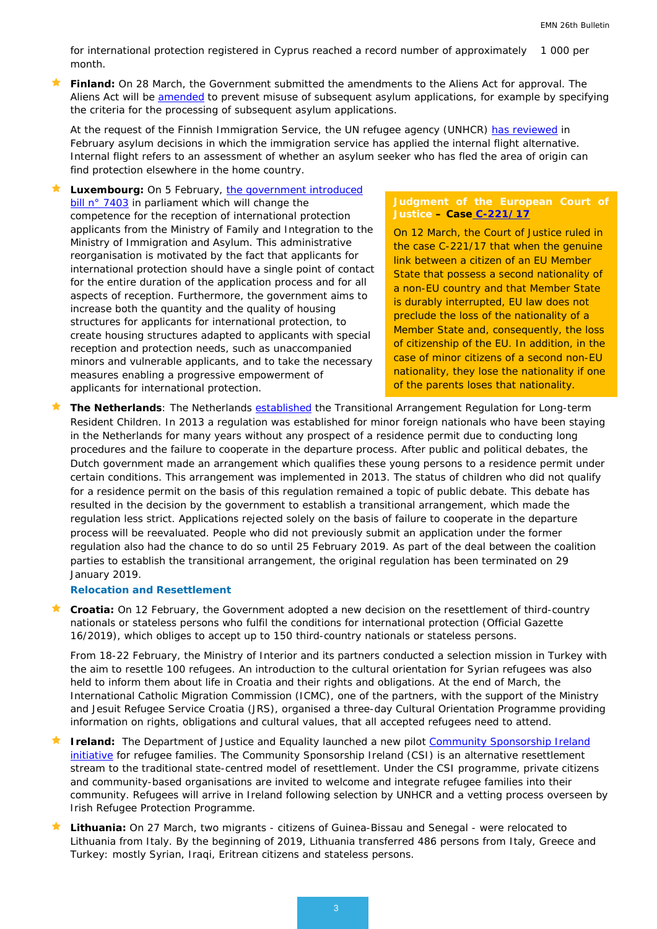for international protection registered in Cyprus reached a record number of approximately 1 000 per month.

 **Finland:** On 28 March, the Government submitted the amendments to the Aliens Act for approval. The Aliens Act will be [amended](file://icfi.icfconsulting.com/org/ea/jobs/PIP/DG%20HOME%20EMN%202018-2020/WS%20III/III.18%20Visibility_dissemination/Bulletin/26th/%EF%83%AA%09https:/intermin.fi/en/article/-/asset_publisher/ulkomaalaislain-muutoksilla-torjutaan-uusintahakemusten-vaarinkayttoa) to prevent misuse of subsequent asylum applications, for example by specifying the criteria for the processing of subsequent asylum applications.

At the request of the Finnish Immigration Service, the UN refugee agency (UNHCR) [has reviewed](https://migri.fi/en/uutishuone/tiedote/-/asset_publisher/sisaisen-paon-arviointia-turvapaikkapaatoksissa-kehitetaan-yk-n-pakolaisjarjeston-unhcr-n-tuella) in February asylum decisions in which the immigration service has applied the internal flight alternative. Internal flight refers to an assessment of whether an asylum seeker who has fled the area of origin can find protection elsewhere in the home country.

Luxembourg: On 5 February, the government introduced [bill n° 7403](https://www.chd.lu/wps/PA_RoleDesAffaires/FTSByteServingServletImpl?path=0CE130F3BE6841C6F311CCA3D213416CF9E6BEA0D282E768EA8E348DB19817A866C6A038629E1769F6C0A3CDF09B61A4$13DD9626D9C69ADD0C9E8C74B93CB2C2) in parliament which will change the competence for the reception of international protection applicants from the Ministry of Family and Integration to the Ministry of Immigration and Asylum. This administrative reorganisation is motivated by the fact that applicants for international protection should have a single point of contact for the entire duration of the application process and for all aspects of reception. Furthermore, the government aims to increase both the quantity and the quality of housing structures for applicants for international protection, to create housing structures adapted to applicants with special reception and protection needs, such as unaccompanied minors and vulnerable applicants, and to take the necessary measures enabling a progressive empowerment of applicants for international protection.

### **Judgment of the European Court of Justice – Case [C-221/17](http://curia.europa.eu/juris/document/document.jsf?text=&docid=211561&pageIndex=0&doclang=EN&mode=req&dir=&occ=first&part=1&cid=3631927)**

On 12 March, the Court of Justice ruled in the case C-221/17 that when the genuine link between a citizen of an EU Member State that possess a second nationality of a non-EU country and that Member State is durably interrupted, EU law does not preclude the loss of the nationality of a Member State and, consequently, the loss of citizenship of the EU. In addition, in the case of minor citizens of a second non-EU nationality, they lose the nationality if one of the parents loses that nationality.

 **The Netherlands**: The Netherlands [established](https://ind.nl/en/about-ind/pages/all-about-the-regulation-for-long-term-resident-children.aspx) the Transitional Arrangement Regulation for Long-term Resident Children. In 2013 a regulation was established for minor foreign nationals who have been staying in the Netherlands for many years without any prospect of a residence permit due to conducting long procedures and the failure to cooperate in the departure process. After public and political debates, the Dutch government made an arrangement which qualifies these young persons to a residence permit under certain conditions. This arrangement was implemented in 2013. The status of children who did not qualify for a residence permit on the basis of this regulation remained a topic of public debate. This debate has resulted in the decision by the government to establish a transitional arrangement, which made the regulation less strict. Applications rejected solely on the basis of failure to cooperate in the departure process will be reevaluated. People who did not previously submit an application under the former regulation also had the chance to do so until 25 February 2019. As part of the deal between the coalition parties to establish the transitional arrangement, the original regulation has been terminated on 29 January 2019.

#### *Relocation and Resettlement*

 **Croatia:** On 12 February, the Government adopted a new decision on the resettlement of third-country nationals or stateless persons who fulfil the conditions for international protection (Official Gazette 16/2019), which obliges to accept up to 150 third-country nationals or stateless persons.

From 18-22 February, the Ministry of Interior and its partners conducted a selection mission in Turkey with the aim to resettle 100 refugees. An introduction to the cultural orientation for Syrian refugees was also held to inform them about life in Croatia and their rights and obligations. At the end of March, the International Catholic Migration Commission (ICMC), one of the partners, with the support of the Ministry and Jesuit Refugee Service Croatia (JRS), organised a three-day Cultural Orientation Programme providing information on rights, obligations and cultural values, that all accepted refugees need to attend.

- **Ireland:** The Department of Justice and Equality launched a new pilot Community Sponsorship Ireland [initiative](http://www.integration.ie/en/ISEC/Pages/WP19000003) for refugee families. The Community Sponsorship Ireland (CSI) is an alternative resettlement stream to the traditional state-centred model of resettlement. Under the CSI programme, private citizens and community-based organisations are invited to welcome and integrate refugee families into their community. Refugees will arrive in Ireland following selection by UNHCR and a vetting process overseen by Irish Refugee Protection Programme.
- **Lithuania:** On 27 March, two migrants citizens of Guinea-Bissau and Senegal were relocated to Lithuania from Italy. By the beginning of 2019, Lithuania transferred 486 persons from Italy, Greece and Turkey: mostly Syrian, Iraqi, Eritrean citizens and stateless persons.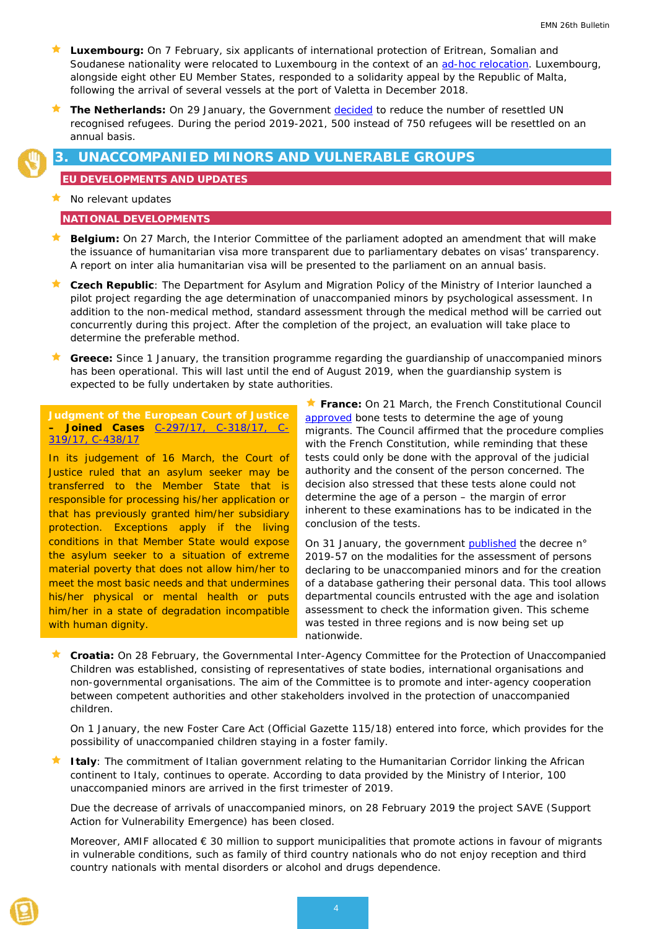- <span id="page-3-0"></span> **Luxembourg:** On 7 February, six applicants of international protection of Eritrean, Somalian and Soudanese nationality were relocated to Luxembourg in the context of an [ad-hoc relocation.](https://gouvernement.lu/fr/actualites/toutes_actualites/communiques/2019/02-fevrier/07-arrivee-demandeurs.html) Luxembourg, alongside eight other EU Member States, responded to a solidarity appeal by the Republic of Malta, following the arrival of several vessels at the port of Valetta in December 2018.
- **The Netherlands:** On 29 January, the Government [decided](https://www.rijksoverheid.nl/documenten/kamerstukken/2019/01/29/tk-een-nieuwe-balans-in-het-regeerakkoord) to reduce the number of resettled UN recognised refugees. During the period 2019-2021, 500 instead of 750 refugees will be resettled on an annual basis.

# **3. UNACCOMPANIED MINORS AND VULNERABLE GROUPS**

#### **EU DEVELOPMENTS AND UPDATES**

 $\star$  No relevant updates

#### **NATIONAL DEVELOPMENTS**

- **Belgium:** On 27 March, the Interior Committee of the parliament adopted an amendment that will make the issuance of humanitarian visa more transparent due to parliamentary debates on visas' transparency. A report on inter alia humanitarian visa will be presented to the parliament on an annual basis.
- **Czech Republic**: The Department for Asylum and Migration Policy of the Ministry of Interior launched a pilot project regarding the age determination of unaccompanied minors by psychological assessment. In addition to the non-medical method, standard assessment through the medical method will be carried out concurrently during this project. After the completion of the project, an evaluation will take place to determine the preferable method.
- **Greece:** Since 1 January, the transition programme regarding the guardianship of unaccompanied minors has been operational. This will last until the end of August 2019, when the guardianship system is expected to be fully undertaken by state authorities.

**Judgment of the European Court of Justice – Joined Cases** [C-297/17, C-318/17, C-](http://curia.europa.eu/juris/document/document.jsf?text=&docid=211803&pageIndex=0&doclang=FR&mode=req&dir=&occ=first&part=1&cid=468344)[319/17, C-438/17](http://curia.europa.eu/juris/document/document.jsf?text=&docid=211803&pageIndex=0&doclang=FR&mode=req&dir=&occ=first&part=1&cid=468344)

In its judgement of 16 March, the Court of Justice ruled that an asylum seeker may be transferred to the Member State that is responsible for processing his/her application or that has previously granted him/her subsidiary protection. Exceptions apply if the living conditions in that Member State would expose the asylum seeker to a situation of extreme material poverty that does not allow him/her to meet the most basic needs and that undermines his/her physical or mental health or puts him/her in a state of degradation incompatible with human dignity.

**France:** On 21 March, the French Constitutional Council [approved](https://www.conseil-constitutionnel.fr/decision/2019/2018768QPC.htm) bone tests to determine the age of young migrants. The Council affirmed that the procedure complies with the French Constitution, while reminding that these tests could only be done with the approval of the judicial authority and the consent of the person concerned. The decision also stressed that these tests alone could not determine the age of a person – the margin of error inherent to these examinations has to be indicated in the conclusion of the tests.

On 31 January, the government [published](https://www.legifrance.gouv.fr/affichTexte.do?cidTexte=JORFTEXT000038074279&categorieLien=id) the decree n° 2019-57 on the modalities for the assessment of persons declaring to be unaccompanied minors and for the creation of a database gathering their personal data. This tool allows departmental councils entrusted with the age and isolation assessment to check the information given. This scheme was tested in three regions and is now being set up nationwide.

★ Croatia: On 28 February, the Governmental Inter-Agency Committee for the Protection of Unaccompanied Children was established, consisting of representatives of state bodies, international organisations and non-governmental organisations. The aim of the Committee is to promote and inter-agency cooperation between competent authorities and other stakeholders involved in the protection of unaccompanied children.

On 1 January, the new Foster Care Act (Official Gazette 115/18) entered into force, which provides for the possibility of unaccompanied children staying in a foster family.

 **Italy**: The commitment of Italian government relating to the Humanitarian Corridor linking the African continent to Italy, continues to operate. According to data provided by the Ministry of Interior, 100 unaccompanied minors are arrived in the first trimester of 2019.

Due the decrease of arrivals of unaccompanied minors, on 28 February 2019 the project SAVE (Support Action for Vulnerability Emergence) has been closed.

Moreover, AMIF allocated € 30 million to support municipalities that promote actions in favour of migrants in vulnerable conditions, such as family of third country nationals who do not enjoy reception and third country nationals with mental disorders or alcohol and drugs dependence.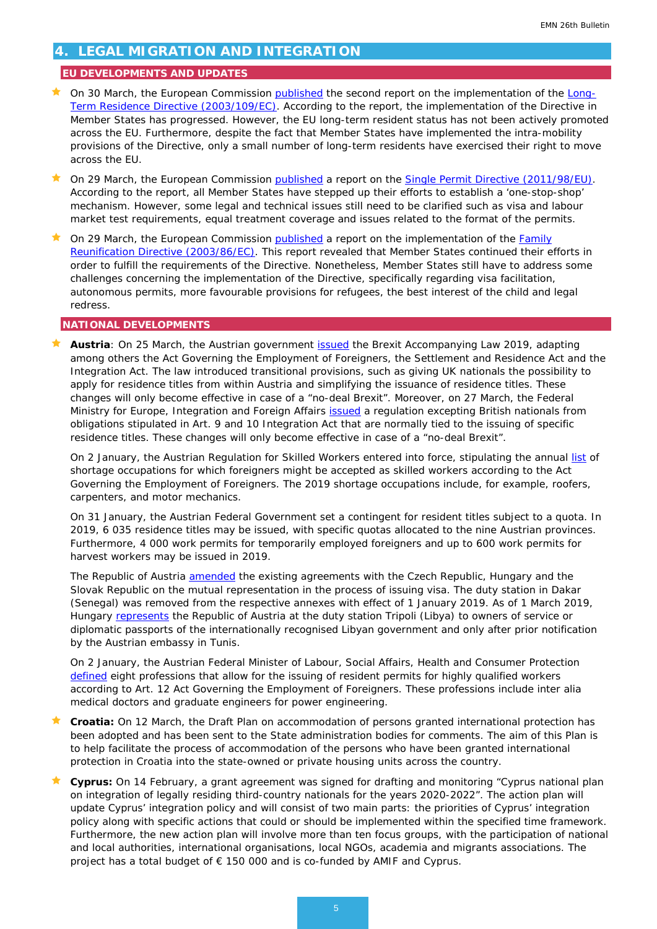# <span id="page-4-0"></span>**4. LEGAL MIGRATION AND INTEGRATION**

### **EU DEVELOPMENTS AND UPDATES**

- **On 30 March, the European Commission [published](http://www.europeanmigrationlaw.eu/documents/COM(2019)161-LongTermResidents.PDF) the second report on the implementation of the [Long-](https://eur-lex.europa.eu/legal-content/en/ALL/?uri=celex%3A32003L0109)**[Term Residence Directive \(2003/109/EC\).](https://eur-lex.europa.eu/legal-content/en/ALL/?uri=celex%3A32003L0109) According to the report, the implementation of the Directive in Member States has progressed. However, the EU long-term resident status has not been actively promoted across the EU. Furthermore, despite the fact that Member States have implemented the intra-mobility provisions of the Directive, only a small number of long-term residents have exercised their right to move across the EU.
- On 29 March, the European Commission [published](https://eur-lex.europa.eu/legal-content/EN/TXT/?uri=COM:2019:160:FIN) a report on the Single Permit [Directive \(2011/98/EU\).](https://eur-lex.europa.eu/legal-content/EN/ALL/?uri=CELEX%3A32011L0098) According to the report, all Member States have stepped up their efforts to establish a 'one-stop-shop' mechanism. However, some legal and technical issues still need to be clarified such as visa and labour market test requirements, equal treatment coverage and issues related to the format of the permits.
- On 29 March, the European Commission [published](http://www.europeanmigrationlaw.eu/documents/COM(2019)162-FamilyReunion.PDF) a report on the implementation of the [Family](https://eur-lex.europa.eu/legal-content/en/ALL/?uri=celex%3A32003L0086)  Reunification [Directive \(2003/86/EC\).](https://eur-lex.europa.eu/legal-content/en/ALL/?uri=celex%3A32003L0086) This report revealed that Member States continued their efforts in order to fulfill the requirements of the Directive. Nonetheless, Member States still have to address some challenges concerning the implementation of the Directive, specifically regarding visa facilitation, autonomous permits, more favourable provisions for refugees, the best interest of the child and legal redress.

#### **NATIONAL DEVELOPMENTS**

 **Austria**: On 25 March, the Austrian government [issued](https://www.ris.bka.gv.at/Dokumente/BgblAuth/BGBLA_2019_I_25/BGBLA_2019_I_25.html) the Brexit Accompanying Law 2019, adapting among others the Act Governing the Employment of Foreigners, the Settlement and Residence Act and the Integration Act. The law introduced transitional provisions, such as giving UK nationals the possibility to apply for residence titles from within Austria and simplifying the issuance of residence titles. These changes will only become effective in case of a "no-deal Brexit". Moreover, on 27 March, the Federal Ministry for Europe, Integration and Foreign Affairs [issued](https://www.ris.bka.gv.at/Dokumente/BgblAuth/BGBLA_2019_II_80/BGBLA_2019_II_80.html) a regulation excepting British nationals from obligations stipulated in Art. 9 and 10 Integration Act that are normally tied to the issuing of specific residence titles. These changes will only become effective in case of a "no-deal Brexit".

On 2 January, the Austrian Regulation for Skilled Workers entered into force, stipulating the annual [list](https://www.ris.bka.gv.at/Dokumente/BgblAuth/BGBLA_2019_II_3/BGBLA_2019_II_3.html) of shortage occupations for which foreigners might be accepted as skilled workers according to the Act Governing the Employment of Foreigners. The 2019 shortage occupations include, for example, roofers, carpenters, and motor mechanics.

On 31 January, the Austrian Federal Government set a contingent for resident titles subject to a quota. In 2019, 6 035 residence titles may be issued, with specific quotas allocated to the nine Austrian provinces. Furthermore, 4 000 work permits for temporarily employed foreigners and up to 600 work permits for harvest workers may be issued in 2019.

The Republic of Austria [amended](https://www.ris.bka.gv.at/Dokumente/BgblAuth/BGBLA_2019_III_24/BGBLA_2019_III_24.html) the existing agreements with the Czech Republic, Hungary and the Slovak Republic on the mutual representation in the process of issuing visa. The duty station in Dakar (Senegal) was removed from the respective annexes with effect of 1 January 2019. As of 1 March 2019, Hungary [represents](https://www.ris.bka.gv.at/Dokumente/BgblAuth/BGBLA_2019_III_29/BGBLA_2019_III_29.html) the Republic of Austria at the duty station Tripoli (Libya) to owners of service or diplomatic passports of the internationally recognised Libyan government and only after prior notification by the Austrian embassy in Tunis.

On 2 January, the Austrian Federal Minister of Labour, Social Affairs, Health and Consumer Protection [defined](https://www.ris.bka.gv.at/Dokumente/BgblAuth/BGBLA_2019_II_2/BGBLA_2019_II_2.html%20() eight professions that allow for the issuing of resident permits for highly qualified workers according to Art. 12 Act Governing the Employment of Foreigners. These professions include *inter alia* medical doctors and graduate engineers for power engineering.

- **Croatia:** On 12 March, the Draft Plan on accommodation of persons granted international protection has been adopted and has been sent to the State administration bodies for comments. The aim of this Plan is to help facilitate the process of accommodation of the persons who have been granted international protection in Croatia into the state-owned or private housing units across the country.
- **Cyprus:** On 14 February, a grant agreement was signed for drafting and monitoring "Cyprus national plan on integration of legally residing third-country nationals for the years 2020-2022". The action plan will update Cyprus' integration policy and will consist of two main parts: the priorities of Cyprus' integration policy along with specific actions that could or should be implemented within the specified time framework. Furthermore, the new action plan will involve more than ten focus groups, with the participation of national and local authorities, international organisations, local NGOs, academia and migrants associations. The project has a total budget of € 150 000 and is co-funded by AMIF and Cyprus.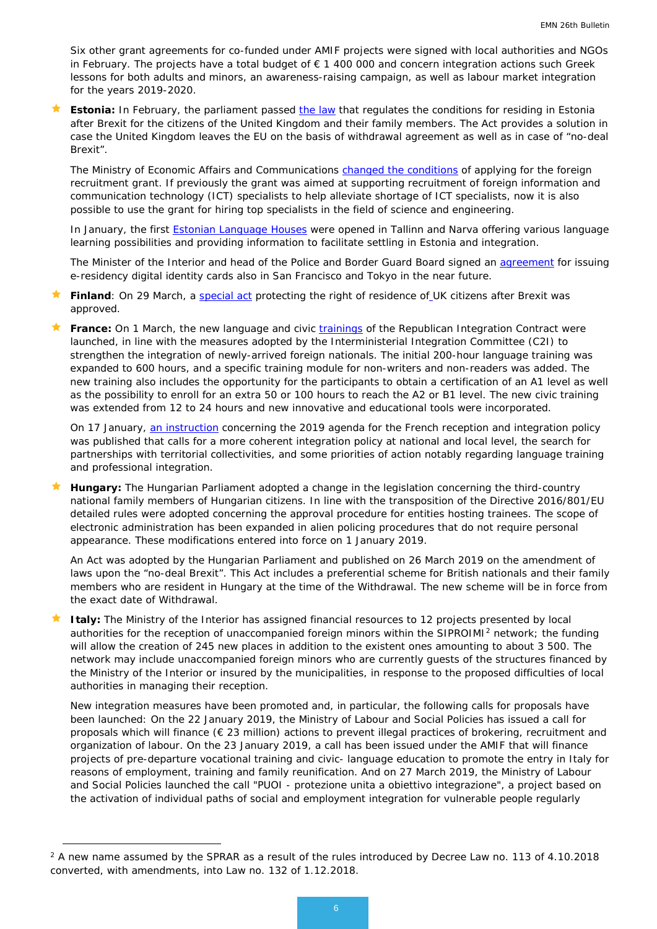Six other grant agreements for co-funded under AMIF projects were signed with local authorities and NGOs in February. The projects have a total budget of € 1 400 000 and concern integration actions such Greek lessons for both adults and minors, an awareness-raising campaign, as well as labour market integration for the years 2019-2020.

**Estonia:** In February, the parliament passed [the law](https://www.siseministeerium.ee/en/news/riigikogu-safeguards-future-british-living-estonia-after-brexit) that regulates the conditions for residing in Estonia after Brexit for the citizens of the United Kingdom and their family members. The Act provides a solution in case the United Kingdom leaves the EU on the basis of withdrawal agreement as well as in case of "no-deal Brexit".

The Ministry of Economic Affairs and Communications [changed the conditions](https://www.eas.ee/teenus/valisvarbamise-toetus/?lang=en) of applying for the foreign recruitment grant. If previously the grant was aimed at supporting recruitment of foreign information and communication technology (ICT) specialists to help alleviate shortage of ICT specialists, now it is also possible to use the grant for hiring top specialists in the field of science and engineering.

In January, the first **Estonian Language Houses** were opened in Tallinn and Narva offering various language learning possibilities and providing information to facilitate settling in Estonia and integration.

The Minister of the Interior and head of the Police and Border Guard Board signed an [agreement](https://www.siseministeerium.ee/et/uudised/e-residendid-saavad-peagi-digitaalseid-isikutunnistusi-katte-ka-tokyos-ja-san-franciscos) for issuing e-residency digital identity cards also in San Francisco and Tokyo in the near future.

- Finland: On 29 March, a [special act](https://intermin.fi/en/article/-/asset_publisher/rekisteroityneiden-brittien-oleskeluoikeus-turvataan-vuoden-2020-loppuun) protecting the right of residence of UK citizens after Brexit was approved.
- France: On 1 March, the new language and civic *trainings* of the Republican Integration Contract were launched, in line with the measures adopted by the Interministerial Integration Committee (C2I) to strengthen the integration of newly-arrived foreign nationals. The initial 200-hour language training was expanded to 600 hours, and a specific training module for non-writers and non-readers was added. The new training also includes the opportunity for the participants to obtain a certification of an A1 level as well as the possibility to enroll for an extra 50 or 100 hours to reach the A2 or B1 level. The new civic training was extended from 12 to 24 hours and new innovative and educational tools were incorporated.

On 17 January, [an instruction](http://circulaires.legifrance.gouv.fr/index.php?action=afficherCirculaire&hit=1&retourAccueil=1&r=44275) concerning the 2019 agenda for the French reception and integration policy was published that calls for a more coherent integration policy at national and local level, the search for partnerships with territorial collectivities, and some priorities of action notably regarding language training and professional integration.

 **Hungary:** The Hungarian Parliament adopted a change in the legislation concerning the third-country national family members of Hungarian citizens. In line with the transposition of the Directive 2016/801/EU detailed rules were adopted concerning the approval procedure for entities hosting trainees. The scope of electronic administration has been expanded in alien policing procedures that do not require personal appearance. These modifications entered into force on 1 January 2019.

An Act was adopted by the Hungarian Parliament and published on 26 March 2019 on the amendment of laws upon the "no-deal Brexit". This Act includes a preferential scheme for British nationals and their family members who are resident in Hungary at the time of the Withdrawal. The new scheme will be in force from the exact date of Withdrawal.

 **Italy:** The Ministry of the Interior has assigned financial resources to 12 projects presented by local authorities for the reception of unaccompanied foreign minors within the SIPROIMI<sup>[2](#page-5-0)</sup> network; the funding will allow the creation of 245 new places in addition to the existent ones amounting to about 3 500. The network may include unaccompanied foreign minors who are currently guests of the structures financed by the Ministry of the Interior or insured by the municipalities, in response to the proposed difficulties of local authorities in managing their reception.

New integration measures have been promoted and, in particular, the following calls for proposals have been launched: On the 22 January 2019, the Ministry of Labour and Social Policies has issued a call for proposals which will finance (€ 23 million) actions to prevent illegal practices of brokering, recruitment and organization of labour. On the 23 January 2019, a call has been issued under the AMIF that will finance projects of pre-departure vocational training and civic- language education to promote the entry in Italy for reasons of employment, training and family reunification. And on 27 March 2019, the Ministry of Labour and Social Policies launched the call "PUOI - protezione unita a obiettivo integrazione", a project based on the activation of individual paths of social and employment integration for vulnerable people regularly

<u>.</u>

<span id="page-5-0"></span> $2$  A new name assumed by the SPRAR as a result of the rules introduced by Decree Law no. 113 of 4.10.2018 converted, with amendments, into Law no. 132 of 1.12.2018.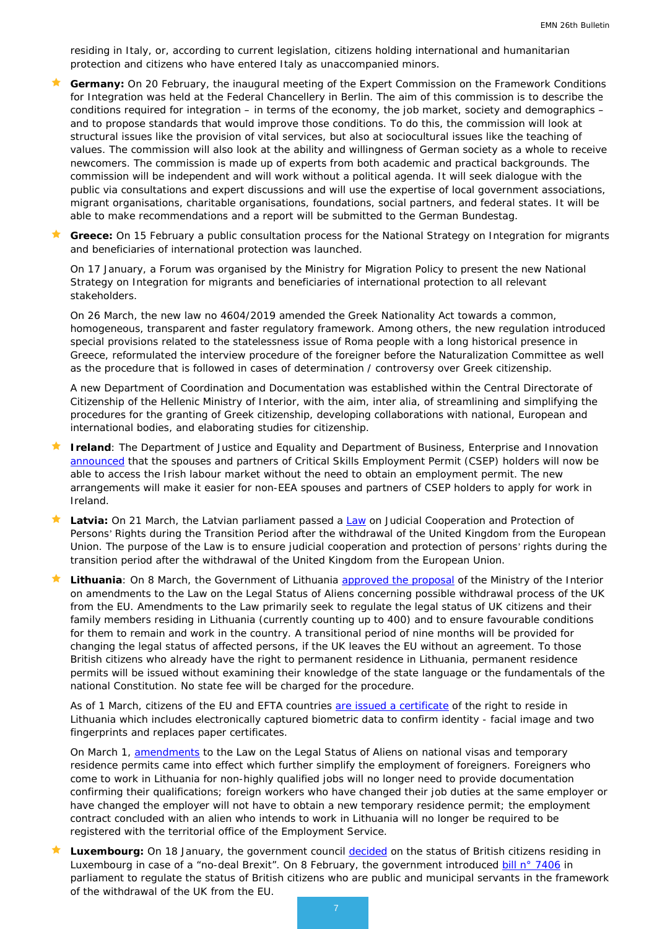residing in Italy, or, according to current legislation, citizens holding international and humanitarian protection and citizens who have entered Italy as unaccompanied minors.

 **Germany:** On 20 February, the inaugural meeting of the Expert Commission on the Framework Conditions for Integration was held at the Federal Chancellery in Berlin. The aim of this commission is to describe the conditions required for integration – in terms of the economy, the job market, society and demographics – and to propose standards that would improve those conditions. To do this, the commission will look at structural issues like the provision of vital services, but also at sociocultural issues like the teaching of values. The commission will also look at the ability and willingness of German society as a whole to receive newcomers. The commission is made up of experts from both academic and practical backgrounds. The commission will be independent and will work without a political agenda. It will seek dialogue with the public via consultations and expert discussions and will use the expertise of local government associations, migrant organisations, charitable organisations, foundations, social partners, and federal states. It will be able to make recommendations and a report will be submitted to the German Bundestag.

 **Greece:** On 15 February a public consultation process for the National Strategy on Integration for migrants and beneficiaries of international protection was launched.

On 17 January, a Forum was organised by the Ministry for Migration Policy to present the new National Strategy on Integration for migrants and beneficiaries of international protection to all relevant stakeholders.

On 26 March, the new law no 4604/2019 amended the Greek Nationality Act towards a common, homogeneous, transparent and faster regulatory framework. Among others, the new regulation introduced special provisions related to the statelessness issue of Roma people with a long historical presence in Greece, reformulated the interview procedure of the foreigner before the Naturalization Committee as well as the procedure that is followed in cases of determination / controversy over Greek citizenship.

A new Department of Coordination and Documentation was established within the Central Directorate of Citizenship of the Hellenic Ministry of Interior, with the aim, inter alia, of streamlining and simplifying the procedures for the granting of Greek citizenship, developing collaborations with national, European and international bodies, and elaborating studies for citizenship.

- **Ireland**: The Department of Justice and Equality and Department of Business, Enterprise and Innovation [announced](http://justice.ie/en/JELR/Pages/PR19000062) that the spouses and partners of Critical Skills Employment Permit (CSEP) holders will now be able to access the Irish labour market without the need to obtain an employment permit. The new arrangements will make it easier for non-EEA spouses and partners of CSEP holders to apply for work in Ireland.
- Latvia: On 21 March, the Latvian parliament passed a [Law](https://likumi.lv/ta/id/305836-par-tiesisko-sadarbibu-un-personu-tiesibu-aizsardzibu-parejas-perioda-pec-lielbritanijas-un-ziemelirijas-apvienotas-karalistes) on Judicial Cooperation and Protection of Persons' Rights during the Transition Period after the withdrawal of the United Kingdom from the European Union. The purpose of the Law is to ensure judicial cooperation and protection of persons' rights during the transition period after the withdrawal of the United Kingdom from the European Union.
- Lithuania: On 8 March, the Government of Lithuania [approved the proposal](https://vrm.lrv.lt/en/news/the-government-has-approved-the-proposal-of-the-ministry-of-the-interior-on-brexit-related-legal-amendments) of the Ministry of the Interior on amendments to the Law on the Legal Status of Aliens concerning possible withdrawal process of the UK from the EU. Amendments to the Law primarily seek to regulate the legal status of UK citizens and their family members residing in Lithuania (currently counting up to 400) and to ensure favourable conditions for them to remain and work in the country. A transitional period of nine months will be provided for changing the legal status of affected persons, if the UK leaves the EU without an agreement. To those British citizens who already have the right to permanent residence in Lithuania, permanent residence permits will be issued without examining their knowledge of the state language or the fundamentals of the national Constitution. No state fee will be charged for the procedure.

As of 1 March, citizens of the EU and EFTA countries [are issued a certificate](http://migracija.lrv.lt/lt/naujienos/pakeista-europos-sajungos-ir-europos-laisvosios-prekybos-asociacijos-valstybiu-nariu-pilieciams-isduodamu-dokumentu-forma) of the right to reside in Lithuania which includes electronically captured biometric data to confirm identity - facial image and two fingerprints and replaces paper certificates.

On March 1, [amendments](http://migracija.lrv.lt/lt/naujienos/nuo-2019-m-kovo-1-d-isigalioja-istatymo-del-uzsienieciu-teisines-padeties-pataisos-del-nacionaliniu-vizu-ir-leidimu-laikinai-gyventi) to the Law on the Legal Status of Aliens on national visas and temporary residence permits came into effect which further simplify the employment of foreigners. Foreigners who come to work in Lithuania for non-highly qualified jobs will no longer need to provide documentation confirming their qualifications; foreign workers who have changed their job duties at the same employer or have changed the employer will not have to obtain a new temporary residence permit; the employment contract concluded with an alien who intends to work in Lithuania will no longer be required to be registered with the territorial office of the Employment Service.

 **Luxembourg:** On 18 January, the government council [decided](https://gouvernement.lu/fr/actualites/toutes_actualites/communiques/2019/01-janvier/18-brexit-preparations-national.html) on the status of British citizens residing in Luxembourg in case of a "no-deal Brexit". On 8 February, the government introduced [bill n° 7406](https://www.chd.lu/wps/PA_RoleDesAffaires/FTSByteServingServletImpl?path=AA26F18CC8C2195304580F2E287E2767D867F44F2FD4BE39CDA86FE5941E06DCF9F997BF406EAD80E0587BB7748DF10A$E4C47CD3B1CE4516C678A6831D2B54C8) in parliament to regulate the status of British citizens who are public and municipal servants in the framework of the withdrawal of the UK from the EU.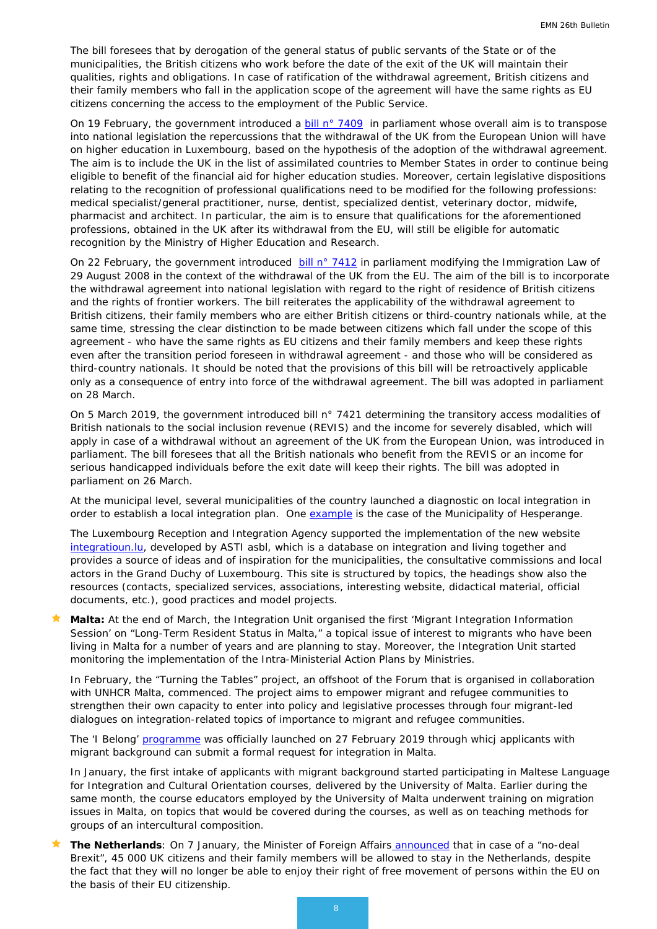The bill foresees that by derogation of the general status of public servants of the State or of the municipalities, the British citizens who work before the date of the exit of the UK will maintain their qualities, rights and obligations. In case of ratification of the withdrawal agreement, British citizens and their family members who fall in the application scope of the agreement will have the same rights as EU citizens concerning the access to the employment of the Public Service.

On 19 February, the government introduced a  $\frac{\text{bill n}^{\circ} 7409}{\text{in}}$  in parliament whose overall aim is to transpose into national legislation the repercussions that the withdrawal of the UK from the European Union will have on higher education in Luxembourg, based on the hypothesis of the adoption of the withdrawal agreement. The aim is to include the UK in the list of assimilated countries to Member States in order to continue being eligible to benefit of the financial aid for higher education studies. Moreover, certain legislative dispositions relating to the recognition of professional qualifications need to be modified for the following professions: medical specialist/general practitioner, nurse, dentist, specialized dentist, veterinary doctor, midwife, pharmacist and architect. In particular, the aim is to ensure that qualifications for the aforementioned professions, obtained in the UK after its withdrawal from the EU, will still be eligible for automatic recognition by the Ministry of Higher Education and Research.

On 22 February, the government introduced [bill n° 7412](https://www.chd.lu/wps/PA_RoleDesAffaires/FTSByteServingServletImpl?path=1E2BC5BEB59DA3816BA07245207EFB77EA02FF600C86F4970519134867CB4C2F9FE11F667474D21A99DB7C53BD307E63$C8E573D5621BD889099A406EDEF118AD) in parliament modifying the Immigration Law of 29 August 2008 in the context of the withdrawal of the UK from the EU. The aim of the bill is to incorporate the withdrawal agreement into national legislation with regard to the right of residence of British citizens and the rights of frontier workers. The bill reiterates the applicability of the withdrawal agreement to British citizens, their family members who are either British citizens or third-country nationals while, at the same time, stressing the clear distinction to be made between citizens which fall under the scope of this agreement - who have the same rights as EU citizens and their family members and keep these rights even after the transition period foreseen in withdrawal agreement - and those who will be considered as third-country nationals. It should be noted that the provisions of this bill will be retroactively applicable only as a consequence of entry into force of the withdrawal agreement. The bill was adopted in parliament on 28 March.

On 5 March 2019, the government introduced bill n° 7421 determining the transitory access modalities of British nationals to the social inclusion revenue (REVIS) and the income for severely disabled, which will apply in case of a withdrawal without an agreement of the UK from the European Union, was introduced in parliament. The bill foresees that all the British nationals who benefit from the REVIS or an income for serious handicapped individuals before the exit date will keep their rights. The bill was adopted in parliament on 26 March.

At the municipal level, several municipalities of the country launched a diagnostic on local integration in order to establish a local integration plan. One [example](https://fr.surveymonkey.com/r/Hesperange) is the case of the Municipality of Hesperange.

The Luxembourg Reception and Integration Agency supported the implementation of the new website [integratioun.lu,](https://integratioun.lu/) developed by ASTI asbl, which is a database on integration and living together and provides a source of ideas and of inspiration for the municipalities, the consultative commissions and local actors in the Grand Duchy of Luxembourg. This site is structured by topics, the headings show also the resources (contacts, specialized services, associations, interesting website, didactical material, official documents, etc.), good practices and model projects.

 **Malta:** At the end of March, the Integration Unit organised the first 'Migrant Integration Information Session' on "Long-Term Resident Status in Malta," a topical issue of interest to migrants who have been living in Malta for a number of years and are planning to stay. Moreover, the Integration Unit started monitoring the implementation of the Intra-Ministerial Action Plans by Ministries.

In February, the "Turning the Tables" project, an offshoot of the Forum that is organised in collaboration with UNHCR Malta, commenced. The project aims to empower migrant and refugee communities to strengthen their own capacity to enter into policy and legislative processes through four migrant-led dialogues on integration-related topics of importance to migrant and refugee communities.

The 'I Belong' [programme](https://www.gov.mt/en/Government/DOI/Press%20Releases/Pages/2019/February/27/pr190402.aspx) was officially launched on 27 February 2019 through whicj applicants with migrant background can submit a formal request for integration in Malta.

In January, the first intake of applicants with migrant background started participating in Maltese Language for Integration and Cultural Orientation courses, delivered by the University of Malta. Earlier during the same month, the course educators employed by the University of Malta underwent training on migration issues in Malta, on topics that would be covered during the courses, as well as on teaching methods for groups of an intercultural composition.

 **The Netherlands**: On 7 January, the Minister of Foreign Affairs [announced](https://www.rijksoverheid.nl/documenten/kamerstukken/2019/01/07/kamerbrief-over-fatsoenlijke-oplossing-burgers-no-deal-brexit) that in case of a "no-deal Brexit", 45 000 UK citizens and their family members will be allowed to stay in the Netherlands, despite the fact that they will no longer be able to enjoy their right of free movement of persons within the EU on the basis of their EU citizenship.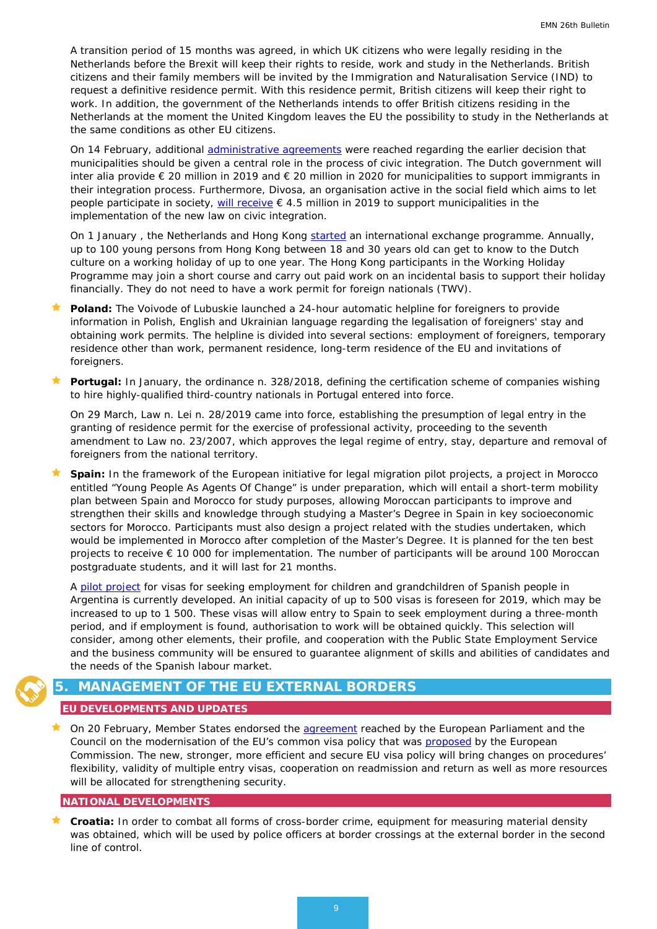A transition period of 15 months was agreed, in which UK citizens who were legally residing in the Netherlands before the Brexit will keep their rights to reside, work and study in the Netherlands. British citizens and their family members will be invited by the Immigration and Naturalisation Service (IND) to request a definitive residence permit. With this residence permit, British citizens will keep their right to work. In addition, the government of the Netherlands intends to offer British citizens residing in the Netherlands at the moment the United Kingdom leaves the EU the possibility to study in the Netherlands at the same conditions as other EU citizens.

On 14 February, additional [administrative agreements](https://zoek.officielebekendmakingen.nl/blg-873798.pdf) were reached regarding the earlier decision that municipalities should be given a central role in the process of civic integration. The Dutch government will *inter alia* provide € 20 million in 2019 and € 20 million in 2020 for municipalities to support immigrants in their integration process. Furthermore, Divosa, an organisation active in the social field which aims to let people participate in society, [will receive](https://www.rijksoverheid.nl/documenten/kamerstukken/2019/02/15/kamerbrief-tussenstand-veranderopgave-inburgering) € 4.5 million in 2019 to support municipalities in the implementation of the new law on civic integration.

On 1 January, the Netherlands and Hong Kong [started](https://ind.nl/en/news/pages/on-1-january-2019,-the-netherlands-and-hong-kong-started-an-international-exchange-programme.aspx) an international exchange programme. Annually, up to 100 young persons from Hong Kong between 18 and 30 years old can get to know to the Dutch culture on a working holiday of up to one year. The Hong Kong participants in the Working Holiday Programme may join a short course and carry out paid work on an incidental basis to support their holiday financially. They do not need to have a work permit for foreign nationals (TWV).

- **Poland:** The Voivode of Lubuskie launched a 24-hour automatic helpline for foreigners to provide information in Polish, English and Ukrainian language regarding the legalisation of foreigners' stay and obtaining work permits. The helpline is divided into several sections: employment of foreigners, temporary residence other than work, permanent residence, long-term residence of the EU and invitations of foreigners.
- **Portugal:** In January, the ordinance n. 328/2018, defining the certification scheme of companies wishing to hire highly-qualified third-country nationals in Portugal entered into force.

On 29 March, Law n. Lei n. 28/2019 came into force, establishing the presumption of legal entry in the granting of residence permit for the exercise of professional activity, proceeding to the seventh amendment to Law no. 23/2007, which approves the legal regime of entry, stay, departure and removal of foreigners from the national territory.

 **Spain:** In the framework of the European initiative for legal migration pilot projects, a project in Morocco entitled "Young People As Agents Of Change" is under preparation, which will entail a short-term mobility plan between Spain and Morocco for study purposes, allowing Moroccan participants to improve and strengthen their skills and knowledge through studying a Master's Degree in Spain in key socioeconomic sectors for Morocco. Participants must also design a project related with the studies undertaken, which would be implemented in Morocco after completion of the Master's Degree. It is planned for the ten best projects to receive € 10 000 for implementation. The number of participants will be around 100 Moroccan postgraduate students, and it will last for 21 months.

A [pilot project](https://expinterweb.mitramiss.gob.es/visar/inicio) for visas for seeking employment for children and grandchildren of Spanish people in Argentina is currently developed. An initial capacity of up to 500 visas is foreseen for 2019, which may be increased to up to 1 500. These visas will allow entry to Spain to seek employment during a three-month period, and if employment is found, authorisation to work will be obtained quickly. This selection will consider, among other elements, their profile, and cooperation with the Public State Employment Service and the business community will be ensured to guarantee alignment of skills and abilities of candidates and the needs of the Spanish labour market.

# <span id="page-8-0"></span>**5. MANAGEMENT OF THE EU EXTERNAL BORDERS**

## **EU DEVELOPMENTS AND UPDATES**

On 20 February, Member States endorsed the [agreement](http://europa.eu/rapid/press-release_IP-19-721_en.htm) reached by the European Parliament and the Council on the modernisation of the EU's common visa policy that was **proposed** by the European Commission. The new, stronger, more efficient and secure EU visa policy will bring changes on procedures' flexibility, validity of multiple entry visas, cooperation on readmission and return as well as more resources will be allocated for strengthening security.

### **NATIONAL DEVELOPMENTS**

 **Croatia:** In order to combat all forms of cross-border crime, equipment for measuring material density was obtained, which will be used by police officers at border crossings at the external border in the second line of control.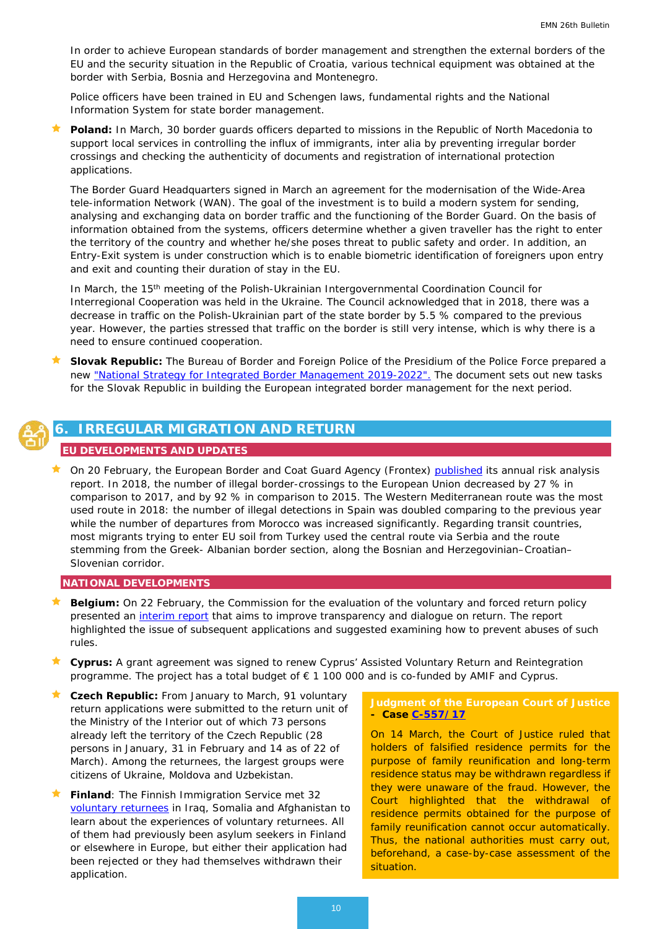<span id="page-9-0"></span>In order to achieve European standards of border management and strengthen the external borders of the EU and the security situation in the Republic of Croatia, various technical equipment was obtained at the border with Serbia, Bosnia and Herzegovina and Montenegro.

Police officers have been trained in EU and Schengen laws, fundamental rights and the National Information System for state border management.

 **Poland:** In March, 30 border guards officers departed to missions in the Republic of North Macedonia to support local services in controlling the influx of immigrants, *inter alia* by preventing irregular border crossings and checking the authenticity of documents and registration of international protection applications.

The Border Guard Headquarters signed in March an agreement for the modernisation of the Wide-Area tele-information Network (WAN). The goal of the investment is to build a modern system for sending, analysing and exchanging data on border traffic and the functioning of the Border Guard. On the basis of information obtained from the systems, officers determine whether a given traveller has the right to enter the territory of the country and whether he/she poses threat to public safety and order. In addition, an Entry-Exit system is under construction which is to enable biometric identification of foreigners upon entry and exit and counting their duration of stay in the EU.

In March, the 15<sup>th</sup> meeting of the Polish-Ukrainian Intergovernmental Coordination Council for Interregional Cooperation was held in the Ukraine. The Council acknowledged that in 2018, there was a decrease in traffic on the Polish-Ukrainian part of the state border by 5.5 % compared to the previous year. However, the parties stressed that traffic on the border is still very intense, which is why there is a need to ensure continued cooperation.

 **Slovak Republic:** The Bureau of Border and Foreign Police of the Presidium of the Police Force prepared a new ["National Strategy for Integrated Border Management 2019-2022".](https://rokovania.gov.sk/download.dat?id=01183A638A2F4D1098EA46C78C6420D2-E072477C48DBAF0F1545B5782413AA59) The document sets out new tasks for the Slovak Republic in building the European integrated border management for the next period.



# **6. IRREGULAR MIGRATION AND RETURN**

#### **EU DEVELOPMENTS AND UPDATES**

 On 20 February, the European Border and Coat Guard Agency (Frontex) [published](https://frontex.europa.eu/assets/Publications/Risk_Analysis/Risk_Analysis/Risk_Analysis_for_2019.pdf) its annual risk analysis report. In 2018, the number of illegal border-crossings to the European Union decreased by 27 % in comparison to 2017, and by 92 % in comparison to 2015. The Western Mediterranean route was the most used route in 2018: the number of illegal detections in Spain was doubled comparing to the previous year while the number of departures from Morocco was increased significantly. Regarding transit countries, most migrants trying to enter EU soil from Turkey used the central route via Serbia and the route stemming from the Greek- Albanian border section, along the Bosnian and Herzegovinian–Croatian– Slovenian corridor.

#### **NATIONAL DEVELOPMENTS**

- **Belgium:** On 22 February, the Commission for the evaluation of the voluntary and forced return policy presented an [interim report](https://dofi.ibz.be/sites/dvzoe/FR/Documents/DEF_RAPPORTINTERIMAIRE_FR.pdf) that aims to improve transparency and dialogue on return. The report highlighted the issue of subsequent applications and suggested examining how to prevent abuses of such rules.
- **Cyprus:** A grant agreement was signed to renew Cyprus' Assisted Voluntary Return and Reintegration programme. The project has a total budget of € 1 100 000 and is co-funded by AMIF and Cyprus.
- **Czech Republic:** From January to March, 91 voluntary return applications were submitted to the return unit of the Ministry of the Interior out of which 73 persons already left the territory of the Czech Republic (28 persons in January, 31 in February and 14 as of 22 of March). Among the returnees, the largest groups were citizens of Ukraine, Moldova and Uzbekistan.
- **Finland**: The Finnish Immigration Service met 32 [voluntary returnees](https://migri.fi/en/uutishuone/tiedote/-/asset_publisher/maahanmuuttovirasto-tapasi-vapaaehtoisesti-palanneita-irakissa-somaliassa-ja-afganistanissa) in Iraq, Somalia and Afghanistan to learn about the experiences of voluntary returnees. All of them had previously been asylum seekers in Finland or elsewhere in Europe, but either their application had been rejected or they had themselves withdrawn their application.

#### **Judgment of the European Court of Justice - Case [C-557/17](http://curia.europa.eu/juris/document/document.jsf?text=&docid=211702&pageIndex=0&doclang=EN&mode=lst&dir=&occ=first&part=1&cid=4353392)**

On 14 March, the Court of Justice ruled that holders of falsified residence permits for the purpose of family reunification and long-term residence status may be withdrawn regardless if they were unaware of the fraud. However, the Court highlighted that the withdrawal of residence permits obtained for the purpose of family reunification cannot occur automatically. Thus, the national authorities must carry out, beforehand, a case-by-case assessment of the situation.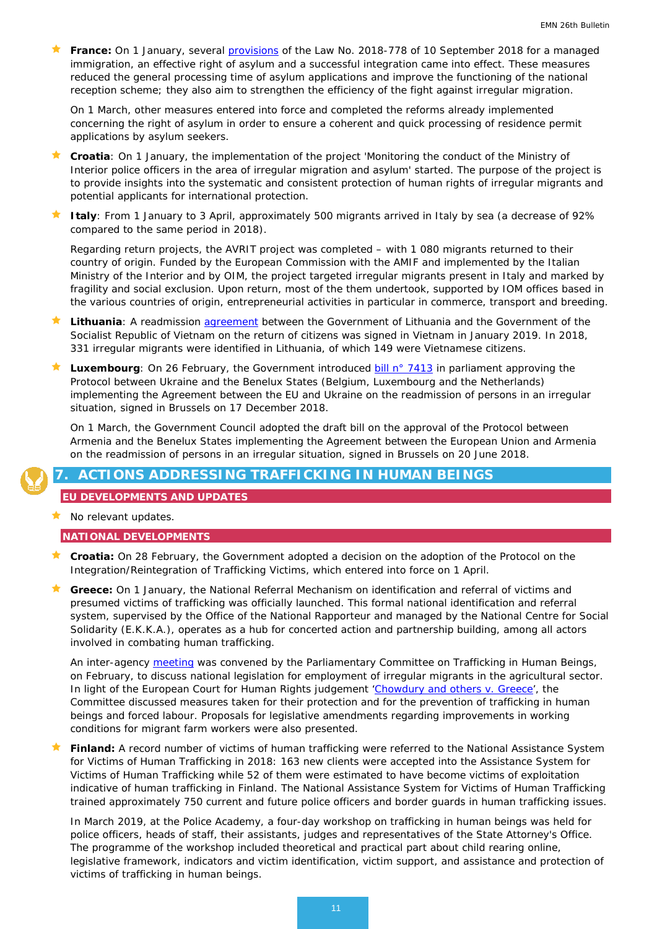<span id="page-10-0"></span>**France:** On 1 January, several [provisions](http://circulaire.legifrance.gouv.fr/index.php?action=afficherCirculaire&hit=1&r=44237) of the Law No. 2018-778 of 10 September 2018 for a managed immigration, an effective right of asylum and a successful integration came into effect. These measures reduced the general processing time of asylum applications and improve the functioning of the national reception scheme; they also aim to strengthen the efficiency of the fight against irregular migration.

On 1 March, other measures entered into force and completed the reforms already implemented concerning the right of asylum in order to ensure a coherent and quick processing of residence permit applications by asylum seekers.

- **Croatia**: On 1 January, the implementation of the project 'Monitoring the conduct of the Ministry of Interior police officers in the area of irregular migration and asylum' started. The purpose of the project is to provide insights into the systematic and consistent protection of human rights of irregular migrants and potential applicants for international protection.
- **Italy**: From 1 January to 3 April, approximately 500 migrants arrived in Italy by sea (a decrease of 92% compared to the same period in 2018).

Regarding return projects, the AVRIT project was completed – with 1 080 migrants returned to their country of origin. Funded by the European Commission with the AMIF and implemented by the Italian Ministry of the Interior and by OIM, the project targeted irregular migrants present in Italy and marked by fragility and social exclusion. Upon return, most of the them undertook, supported by IOM offices based in the various countries of origin, entrepreneurial activities in particular in commerce, transport and breeding.

- **Lithuania**: A readmission [agreement](https://vrm.lrv.lt/lt/naujienos/kovai-su-neteiseta-migracija-susitarimas-su-vietnamu) between the Government of Lithuania and the Government of the Socialist Republic of Vietnam on the return of citizens was signed in Vietnam in January 2019. In 2018, 331 irregular migrants were identified in Lithuania, of which 149 were Vietnamese citizens.
- Luxembourg: On 26 February, the Government introduced **bill n° 7413** in parliament approving the Protocol between Ukraine and the Benelux States (Belgium, Luxembourg and the Netherlands) implementing the Agreement between the EU and Ukraine on the readmission of persons in an irregular situation, signed in Brussels on 17 December 2018.

On 1 March, the Government Council adopted the draft bill on the approval of the Protocol between Armenia and the Benelux States implementing the Agreement between the European Union and Armenia on the readmission of persons in an irregular situation, signed in Brussels on 20 June 2018.

# **7. ACTIONS ADDRESSING TRAFFICKING IN HUMAN BEINGS**

## **EU DEVELOPMENTS AND UPDATES**

No relevant updates.

#### **NATIONAL DEVELOPMENTS**

- **Croatia:** On 28 February, the Government adopted a decision on the adoption of the Protocol on the Integration/Reintegration of Trafficking Victims, which entered into force on 1 April.
- **Greece:** On 1 January, the National Referral Mechanism on identification and referral of victims and presumed victims of trafficking was officially launched. This formal national identification and referral system, supervised by the Office of the National Rapporteur and managed by the National Centre for Social Solidarity (E.K.K.A.), operates as a hub for concerted action and partnership building, among all actors involved in combating human trafficking.

An inter-agency [meeting](https://www.hellenicparliament.gr/Vouli-ton-Ellinon/ToKtirio/Fotografiko-Archeio/%2332cd618f-0d20-451e-81ed-a9f300ac3f37) was convened by the Parliamentary Committee on Trafficking in Human Beings, on February, to discuss national legislation for employment of irregular migrants in the agricultural sector. In light of the European Court for Human Rights judgement ['Chowdury and others v. Greece'](https://ec.europa.eu/anti-trafficking/case-law/chowdury-and-others-v-greece-0_en), the Committee discussed measures taken for their protection and for the prevention of trafficking in human beings and forced labour. Proposals for legislative amendments regarding improvements in working conditions for migrant farm workers were also presented.

 **Finland:** A record number of victims of human trafficking were referred to the National Assistance System for Victims of Human Trafficking in 2018: 163 new clients were accepted into the Assistance System for Victims of Human Trafficking while 52 of them were estimated to have become victims of exploitation indicative of human trafficking in Finland. The National Assistance System for Victims of Human Trafficking trained approximately 750 current and future police officers and border guards in human trafficking issues.

In March 2019, at the Police Academy, a four-day workshop on trafficking in human beings was held for police officers, heads of staff, their assistants, judges and representatives of the State Attorney's Office. The programme of the workshop included theoretical and practical part about child rearing online, legislative framework, indicators and victim identification, victim support, and assistance and protection of victims of trafficking in human beings.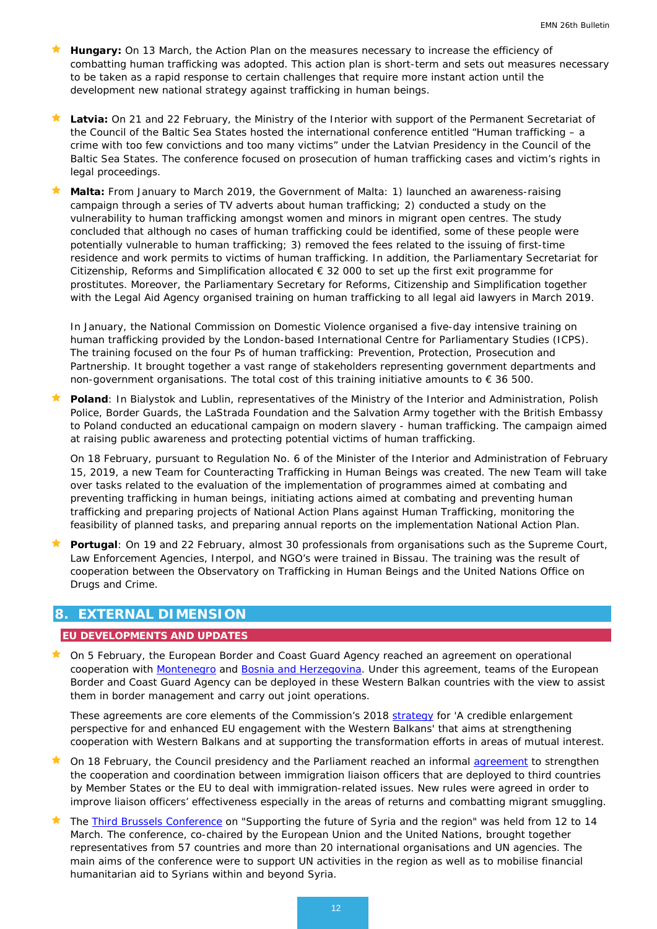- **Hungary:** On 13 March, the Action Plan on the measures necessary to increase the efficiency of combatting human trafficking was adopted. This action plan is short-term and sets out measures necessary to be taken as a rapid response to certain challenges that require more instant action until the development new national strategy against trafficking in human beings.
- **Latvia:** On 21 and 22 February, the Ministry of the Interior with support of the Permanent Secretariat of the Council of the Baltic Sea States hosted the international conference entitled "Human trafficking – a crime with too few convictions and too many victims" under the Latvian Presidency in the Council of the Baltic Sea States. The conference focused on prosecution of human trafficking cases and victim's rights in legal proceedings.
- **Malta:** From January to March 2019, the Government of Malta: 1) launched an awareness-raising campaign through a series of TV adverts about human trafficking; 2) conducted a study on the vulnerability to human trafficking amongst women and minors in migrant open centres. The study concluded that although no cases of human trafficking could be identified, some of these people were potentially vulnerable to human trafficking; 3) removed the fees related to the issuing of first-time residence and work permits to victims of human trafficking. In addition, the Parliamentary Secretariat for Citizenship, Reforms and Simplification allocated  $\epsilon$  32 000 to set up the first exit programme for prostitutes. Moreover, the Parliamentary Secretary for Reforms, Citizenship and Simplification together with the Legal Aid Agency organised training on human trafficking to all legal aid lawyers in March 2019.

In January, the National Commission on Domestic Violence organised a five-day intensive training on human trafficking provided by the London-based International Centre for Parliamentary Studies (ICPS). The training focused on the four Ps of human trafficking: Prevention, Protection, Prosecution and Partnership. It brought together a vast range of stakeholders representing government departments and non-government organisations. The total cost of this training initiative amounts to  $\epsilon$  36 500.

 **Poland**: In Bialystok and Lublin, representatives of the Ministry of the Interior and Administration, Polish Police, Border Guards, the LaStrada Foundation and the Salvation Army together with the British Embassy to Poland conducted an educational campaign on modern slavery - human trafficking. The campaign aimed at raising public awareness and protecting potential victims of human trafficking.

On 18 February, pursuant to Regulation No. 6 of the Minister of the Interior and Administration of February 15, 2019, a new Team for Counteracting Trafficking in Human Beings was created. The new Team will take over tasks related to the evaluation of the implementation of programmes aimed at combating and preventing trafficking in human beings, initiating actions aimed at combating and preventing human trafficking and preparing projects of National Action Plans against Human Trafficking, monitoring the feasibility of planned tasks, and preparing annual reports on the implementation National Action Plan.

 **Portugal**: On 19 and 22 February, almost 30 professionals from organisations such as the Supreme Court, Law Enforcement Agencies, Interpol, and NGO's were trained in Bissau. The training was the result of cooperation between the Observatory on Trafficking in Human Beings and the United Nations Office on Drugs and Crime.

# <span id="page-11-0"></span>**8. EXTERNAL DIMENSION**

## **EU DEVELOPMENTS AND UPDATES**

★ On 5 February, the European Border and Coast Guard Agency reached an agreement on operational cooperation with [Montenegro](http://europa.eu/rapid/press-release_IP-19-851_en.htm) and [Bosnia and Herzegovina.](https://ec.europa.eu/home-affairs/news/european-border-coast-guard-agreement-operational-cooperation-reached-bosnia-herzegovina_en) Under this agreement, teams of the European Border and Coast Guard Agency can be deployed in these Western Balkan countries with the view to assist them in border management and carry out joint operations.

These agreements are core elements of the Commission's 2018 [strategy](https://ec.europa.eu/commission/sites/beta-political/files/communication-credible-enlargement-perspective-western-balkans_en.pdf) for 'A credible enlargement perspective for and enhanced EU engagement with the Western Balkans' that aims at strengthening cooperation with Western Balkans and at supporting the transformation efforts in areas of mutual interest.

- On 18 February, the Council presidency and the Parliament reached an informal [agreement](https://www.consilium.europa.eu/en/press/press-releases/2019/02/18/immigration-liaison-officers-council-presidency-and-european-parliament-reach-provisional-agreement/) to strengthen the cooperation and coordination between immigration liaison officers that are deployed to third countries by Member States or the EU to deal with immigration-related issues. New rules were agreed in order to improve liaison officers' effectiveness especially in the areas of returns and combatting migrant smuggling.
- The [Third Brussels Conference](https://www.consilium.europa.eu/en/meetings/international-ministerial-meetings/2019/03/12-14/) on "Supporting the future of Syria and the region" was held from 12 to 14 March. The conference, co-chaired by the European Union and the United Nations, brought together representatives from 57 countries and more than 20 international organisations and UN agencies. The main aims of the conference were to support UN activities in the region as well as to mobilise financial humanitarian aid to Syrians within and beyond Syria.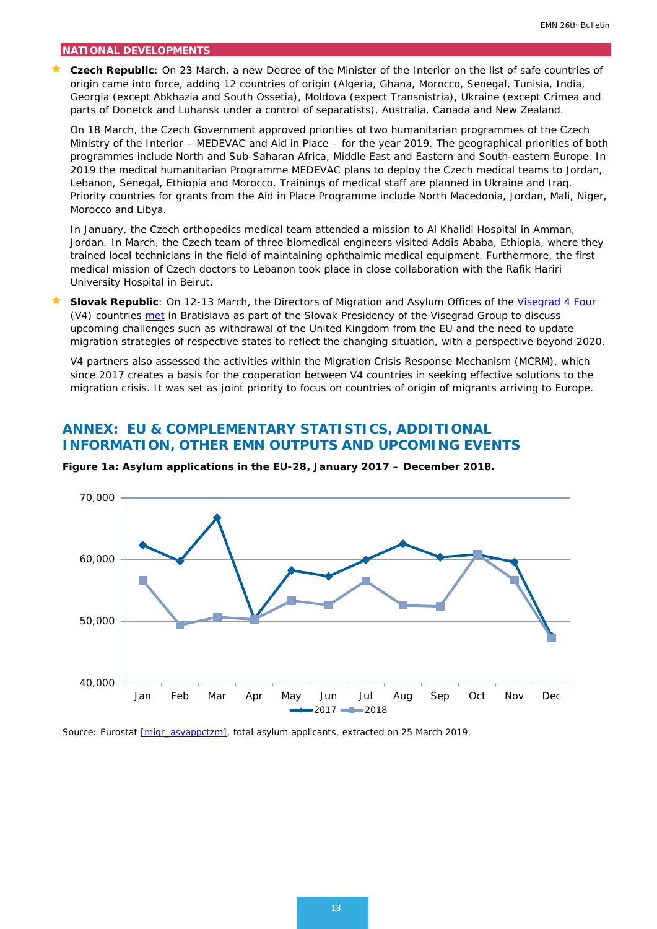#### **NATIONAL DEVELOPMENTS**

 **Czech Republic**: On 23 March, a new Decree of the Minister of the Interior on the list of safe countries of origin came into force, adding 12 countries of origin (Algeria, Ghana, Morocco, Senegal, Tunisia, India, Georgia (except Abkhazia and South Ossetia), Moldova (expect Transnistria), Ukraine (except Crimea and parts of Donetck and Luhansk under a control of separatists), Australia, Canada and New Zealand.

On 18 March, the Czech Government approved priorities of two humanitarian programmes of the Czech Ministry of the Interior – MEDEVAC and Aid in Place – for the year 2019. The geographical priorities of both programmes include North and Sub-Saharan Africa, Middle East and Eastern and South-eastern Europe. In 2019 the medical humanitarian Programme MEDEVAC plans to deploy the Czech medical teams to Jordan, Lebanon, Senegal, Ethiopia and Morocco. Trainings of medical staff are planned in Ukraine and Iraq. Priority countries for grants from the Aid in Place Programme include North Macedonia, Jordan, Mali, Niger, Morocco and Libya.

In January, the Czech orthopedics medical team attended a mission to Al Khalidi Hospital in Amman, Jordan. In March, the Czech team of three biomedical engineers visited Addis Ababa, Ethiopia, where they trained local technicians in the field of maintaining ophthalmic medical equipment. Furthermore, the first medical mission of Czech doctors to Lebanon took place in close collaboration with the Rafik Hariri University Hospital in Beirut.

**Slovak Republic**: On 12-13 March, the Directors of Migration and Asylum Offices of the *Visegrad 4 Four* (V4) countries [met](https://www.slov-lex.sk/pravne-predpisy/SK/ZZ/2019/70/20190306.html) in Bratislava as part of the Slovak Presidency of the Visegrad Group to discuss upcoming challenges such as withdrawal of the United Kingdom from the EU and the need to update migration strategies of respective states to reflect the changing situation, with a perspective beyond 2020.

V4 partners also assessed the activities within the Migration Crisis Response Mechanism (MCRM), which since 2017 creates a basis for the cooperation between V4 countries in seeking effective solutions to the migration crisis. It was set as joint priority to focus on countries of origin of migrants arriving to Europe.

# <span id="page-12-0"></span>**ANNEX: EU & COMPLEMENTARY STATISTICS, ADDITIONAL INFORMATION, OTHER EMN OUTPUTS AND UPCOMING EVENTS**



**Figure 1a: Asylum applications in the EU-28, January 2017 – December 2018.**

*Source: Eurostat [\[migr\\_asyappctzm\],](http://appsso.eurostat.ec.europa.eu/nui/show.do?dataset=migr_asyappctzm&lang=en) total asylum applicants, extracted on 25 March 2019.*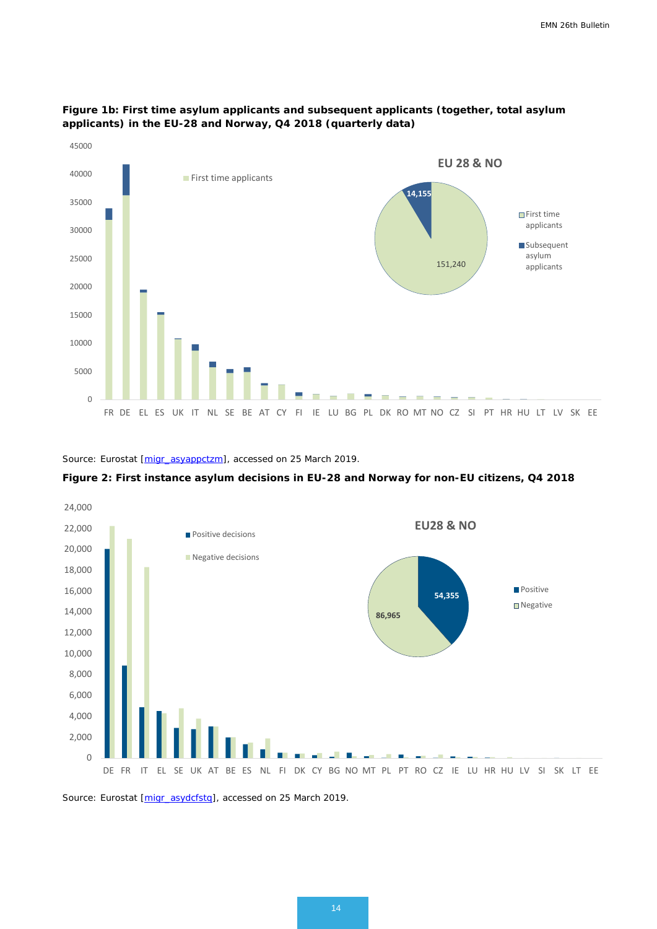

### **Figure 1b: First time asylum applicants and subsequent applicants (together, total asylum applicants) in the EU-28 and Norway, Q4 2018 (quarterly data)**

*Source: Eurostat [\[migr\\_asyappctzm\]](http://appsso.eurostat.ec.europa.eu/nui/show.do?dataset=migr_asyappctzm&lang=en), accessed on 25 March 2019.*





*Source: Eurostat [\[migr\\_asydcfstq\]](http://appsso.eurostat.ec.europa.eu/nui/submitViewTableAction.do), accessed on 25 March 2019.*